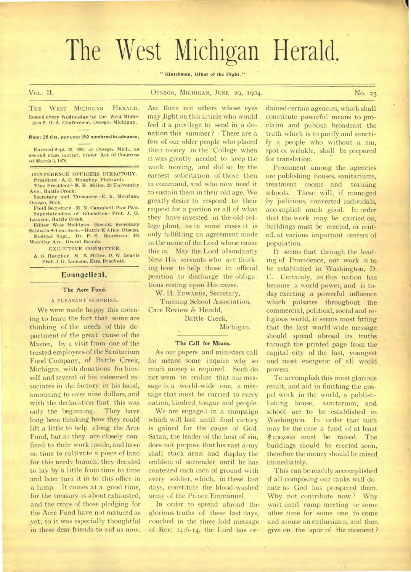# The West Michigan Herald.

" Watchman, What of the Dight."

# VoL. II. **OTSEGO, MICHIGAN, JUNE 29, 1904.** No. 25

**THE WEST MICHIGAN HERALD. Issued every Wednesday by the West Michigan S. D. A. Conference, Otsego. Michigan.** 

### **Rate: 25 Cts.** *per* **yeas (50 numbess)In advance.**

**Entered Sept. 1903. at Otsego. Mich.. as second class matter, under Act of Congress of March 3, ISIS.** 

**CONFERENCE OFFICERS DIRECTORY. President—A. G. Haughey, Plainwell. Vice President= M. B. Miller, 29 University** 

Ave., Battle Creek.

**Secretary and Treasurer—E. A. Merriam. Otsego. Mich.** 

**Field Secretary—M. N. Campbell. Paw Paw.**  Superintendent of Education-Prof. J. G. **Lamson, Battle Creek.** 

**Editor West Michigan Herald, Secretary Sabbath School Assn.—Hattie E A Ilee, Otsego. Medical Supt.. Dr. P. S. Bourdeau, 475** 

**Wealthy Ave.. Grand Rapids.** 

**EXECUTIVE COMMITTEE.** 

**A. O. Haughey. M B. Miller. D. W. Reavis Prof..1. 0. Lamson. Ezra Brackett.** 

### **Evangelical.**

### **The Acre Fund.**

# **A PLEASANT SURPRISE.**

We were made happy this morning to learn the fact that some are thinking of the needs of this department of the great cause of the Master, by a visit from one of the trusted employees of the Sanitarium Food Company, of Battle Creek, Michigan, with donations for himself and several of his esteemed associates in the factory in his band, amouning to over nine dollars, and with the declaration that this was only the beginning. They have long been thinking how they could lift a little to help along the Acre Fund, but as they are closely confined to their work inside, and have no time to cultivate a piece of land for this needy branch; they decided to lay by a little from time to time and later turn it in to this office in a lump. It comes at a. good time, for the treasury is about exhausted, and the crops of those pledging for the Acre Fund have not matured as vet; so it was especially thoughtful in these dear friends to aid us now. Are there not others whose eyes may light on this article who would feel it a privilege to send in a donation this summer? - There are a few of our older people who placed their money in the College when it was greatly needed to keep the work moving, and did so by the earnest solicitation of those then in command, and who now need it to sustain them in their old age. We greatly desire to respond .to their request for a portion or all of what they have invested in the old college plant, as in some cases it is only fullfilling an agreement made in the name of the Lord whose cause this is: Mav the Lord abundantly bless His servants who are thinking how to help those in official position to discharge the obligations resting upon His cause.

W. H. **EDWARDS, Secretary,** 

• Training School Association, Care Review & Herald,

Battle Creek,

Michigan.

### **The Call for Means.**

As our papers and ministers call for means some inquire why so much money is required. Such do not seem to realize that our message is a world-wide one, a message that must be carried to every nation, kindred, tongue and people.

We are engaged in a campaign which will last until final victory is gained for the cause of God. Satan, the leader of the host of sin, does not propose that his vast army shall stack arms and display the emblem of surrender until he has contested each inch of ground with every soldier, which, in these last days, constitute the blood-washed army of the Prince Emmanuel.

In order to spread abroad the glorious truths of these last days, couched in the three-fold message of Rev. 14:6-14, the Lord has or-

dained.certain agencies, which shall constitute powerful means to proclaim and publish broadcast' the truth which is to purify and sanctify a people who without a sin, spot or wrinkle, shall be prepared for translation.

Prominent among the agencies are publishing houses, sanitariums, treatment rooms and training schools. These will, if managed by judicious, converted individals, accomplish much good. In order that the work may be carried on, buildings must be erected, or rented, at various important centers of population.

It seems that through the leading of Providence, our work is to be established in Washington, D. C. Certainly, as this nation has become a world power, and is today exerting a powerful influence which pulsates throughout the commercial, political, social and religious world, it seems most fitting that the last world-wide message should spread abroad its truths through the printed page from the capital city of the last, youngest and most energetic of all world powers.

To accomplish this most glorious result, and aid in finishing the gospel work in the world, a publishlishing house, sanitarium, and school are to be established in Washington. In order that such may be the case a fund of at least \$ ioo,000 must be raised. The buildings should be erected soon, therefore the money should be raised immediately.

This can be readily accomplished if all composing our ranks will donate as God has prospered them. Why not contribute now ? Why wait until camp-meeting or some other time for some one to come and arouse an enthusiasm, and then give on the spur of the moment?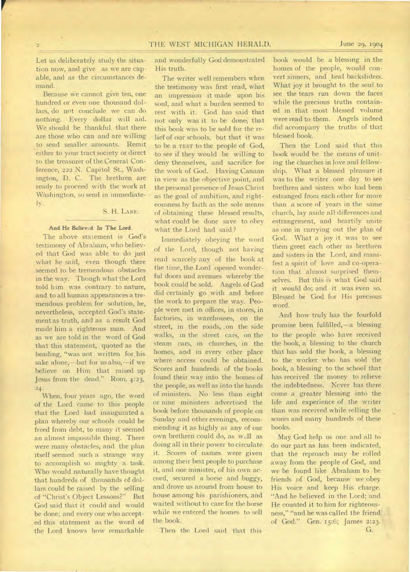Let us deliberately study the situation now, and give as we are capable, and as the circumstances demand.

 $\overline{2}$ 

Because we cannot give ten, one hundred or even one thousand dollars, do not conclude we can do nothing. Every dollar will aid. We should be thankful. that there are those who can and are willing to send smaller amounts. Remit either to your tract society or direct to the treasurer of the Ceneral Conference, 222 N. Capitol St., Washington, D. C. The brethren are ready to proceed with the work at Washington, so send in immediately.

### S. H. LANE.

# **And He Believed In The Lord.**

The above statement is God's testimony of Abraham, who believed that God was able to do just what he said, even though there seemed to be tremendous obstacles in the way. Though what the Lord told him was contrary to nature, and to all human appearances a tremendous problem for solution, he, nevertheless, accepted God's statement as truth, and as a result God made him a righteous man. And as we are told in the word of God that this statement, quoted as the heading, "was not written for, his sake alone,—but for us also,—if we believe on Him that raised up Jesus from the dead." Rom, 4:23, 24.

When, four years ago, the word of the Lord came to this people that the Lord had inaugurated a plan whereby our schools could be freed from debt, to many it seemed an almost impossible thing. There were many obstacles, and the plan itself seemed such a strange way to accomplish so mighty a task. Who would naturally have thought that hundreds of thousands of dollars could be raised by the selling of "Christ's Object Lessons?" But God said that it could and would be done; and every one who accepted this statement as the word of the Lord knows how remarkable

and wonderfully God demonstrated His truth.

The writer well remembers when the testimony was first read, what an impression it made upon his soul, and what a burden seemed to rest with it. God has said that not only was it to be done; that this book was to be sold for the relief of our schools, but that it was to be a TEST to the people of God, to see if they would be willing to deny themselves, and sacrifice for the work of God. Having Canaan in view as the objective point, and the personal presence of Jesus Christ as the goal of ambition, and righteousness by faith as the sole means of obtaining these blessed results, what could be done save to obey what the Lord had said ?

Immediately obeying the word of the Lord, though not having read scarcely any of the book at the time, the Lord opened wonderful doors and avenues whereby the book could be sold. Angels of God did certainly go with and before the work to prepare the way. People were met in offices, in stores, in factories, in warehouses, on the street, in the roads, \_on the side walks, in the street cars, on the steam cars, in churches, in the homes, and in every other place where access could be obtained. Scores and hundreds of the books found their way into the homes of the people, as well as into the hands of ministers. No less than eight or nine ministers advertised the book before thousands of people on Sunday and other evenings, recommending it as highly as any of our own brethren could do, as well as doing all in their power to circulate. it. Scores of names were given among their best people to purchase it, and one minister, of his own accord, secured a horse and buggy, and drove us around from house to house among his parishioners, and waited without to care for the horse while we entered the' homes to sell the book.

Then the Lord said that this

book would be a blessing in the homes of the people, would convert sinners, and heal backsliders. What joy it brought to the soul to see the tears run down the faces while the precious truths contained in that most blessed volume were read to them. Angels indeed did accompany the truths of that blessed book.

Then the Lord said that this book would be the means of uniting the churches in love and fellowship. What a blessed pleasure it was to the writer one day to see brethren and sisters who had been estranged from each other for more than a score of years in the same church, lay aside all-differences and estrangement, and heartily unite as one in carrying out the plan of God. What a joy it was to see them greet each other as brethren and sisters in the Lord, and manifest a spirit of love and co-operation that almost surprised themselves. But this is what God said it would do; and it was even so. Blessed be God for His precious word.

And how truly has the fourfold promise been fulfilled,—a blessing to the people who have received the book, a blessing to the church that has sold the book, a blessing to the worker who has sold the\_ book, a blessing to the school that has received the money to relieve the indebtedness. Never has there come a greater blessing into the life and experience of the writer than was received while selling the scores and many hundreds of these books.

May. God help us one and all to do our part as has been indicated, that the reproach may be rolled away from the people of God, and we be found like Abraham to be friends of God, because we obey His voice and keep His charge. "And he believed in the Lord; and He counted it to him for righteousness," "and he was called the friend \_ of God." Gen. 15:6; James 2:23.

G.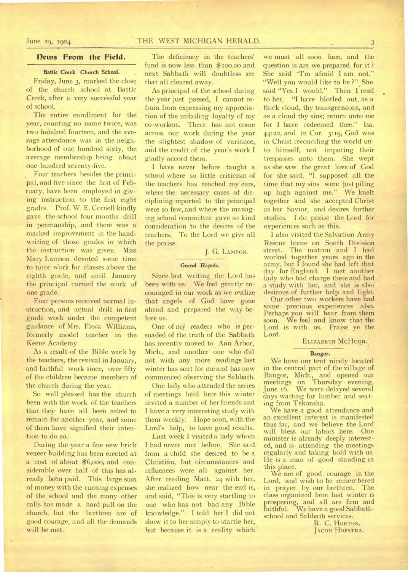# June 29, 1904. • THE WEST MICHIGAN HERALD.

# **Dews From the Field.**

### Battle **Creek** Church School.

Friday, June 3, marked the close of the church school at Battle Creek, after a very successful year of school.

The entire enrollment for the year, counting no name twice, was two hundred fourteen, and the average attendance was in the neighborhood of one hundred sixty, the average membership being about one hundred seventy -five.

Four teachers besides the principal, and five since the first of February, have been employed in giving instruction to the first eight grades. Prof. W. E. Cornell kindly gave the school four months drill in penmanship, and there was a marked improvement in the handwriting of those grades in which the instruction was given. Miss Mary Lamson devoted some time to tutor work for classes above the eighth grade, and until January the principal carried the work of one grade.

Four persons received normal instruction, and actual drill in first grade work under the competent guidance of Mrs. Flora Williams, formerly model teacher in the Keene Academy.

As a result of the Bible work by the teachers, the revival in January, and faithful work since, over fifty of the children became members of the church during the year.

So well pleased has the church been with the work of the teachers that they have all been asked to remain for another year, and some of them have signified their intention to do so.

During the year a fine new brick veneer building has been erected at a cost of about \$6,000, and considerable over half of this has already been paid. This large sum of money with the running expenses of the school and the many other calls has made a hard pull on the church, but the brethren are of good courage, and all the demands will be met.

The deficiency in the teachers' fund is now less than \$ too.00 and next Sabbath will doubtless see that all cleared away.

As principal of the school during the year just passed, I cannot refrain from expressing my appreciation of the unfailing loyalty of my co-workers. There has not come across our work during the year the slightest shadow of variance, and the credit of the year's work I gladly accord them.

I have never before taught a school where so little criticism of the teachers has reached my ears, where the necessary cases of disciplining reported to the principal were so few, and where the managing school committee gave so kind consideration to the desires of the teacherS. To the Lord we give all the praise.

J. G. LAMSON.

# **Grand Rapids.**

Since last writing the Lord has been with us. We feel greatly encouraged in our work as we realize that angels of God have gone ahead and prepared the way before us.

One of my readers who is persuaded of the truth of the Sabbath has recently moved to Ann Arbor; Mich., and another' one who did not wish any more readings last winter has sent for me and has now commenced observing the Sabbath.

One lady who attended the series of meetings held here this winter invited a number of her friends and I have a very interesting study with them weekly. Hope soon, with the Lord's help, to have good results.

Last week I visited a lady whom I had never met before. She said from a child she desired to be a Christian, but circumstances and influences were all against her. After reading Matt. 24 with her, she realized how near the end is, and said, "This is very startling to one who has not had any Bible knowledge." I told her I did not show it to her simply to startle her, but because it is a reality which

we must all soon face, and the question is are we prepared for it ? She said "I'm afraid I am not." "Well you would like to be ?" She said "Yes I would." Then I read to her, "I have blotled out, as a thick cloud, thy transgressions, and as a cloud thy sins; return unto me for I have redeemed thee." Isa. 44:22, and in Cor. 5:1g, God was in Christ reconciling the world unto himself, not imputing their trespasses unto them. She wept as she saw the great love of God for she said, "I supposed all the time that my sins were just piling up high against me." We knelt together and she accepted Christ as her Savior, and desires further studies. I do praise the Lord for experiences such as this.

I also visited the Salvation Army Rescue home on South Division<br>street. The matron and I had The matron and I had worked together years ago in the army, but I found she had left that day for England. I met another lady who had charge there and had a study with her, and she is also desirous of further help and light.

Our other two workers have had some precious experiences also. Perhaps you will' hear from them soon. We feel and know that the Lord is with us. Praise ye the Lord.

### ELIZABETH MCHUGH.

### **Bangor.**

We have our tent nicely located in the central part of the village of Bangor, Mich., and opened our meetings on Thursday evening, June 16. We were delayed several days waiting for lumber and seating from Tekonsha.

We have a good attendance and an excellent interest is manifested thus far, and we believe the Lord will bless our labors here. One minister is already deeply interested, and is• attending the meetings regularly and taking hold with us. He is a man of good standing in this place.

We are of good courage in the Lord, and wish to be remembered in prayer by our brethren. The class organized here last winter is prospering, and all are firm and faithful. We have a good Sabbathschool and Sabbath services.

> R. C. HORTON, JACOB HOFSTRA.